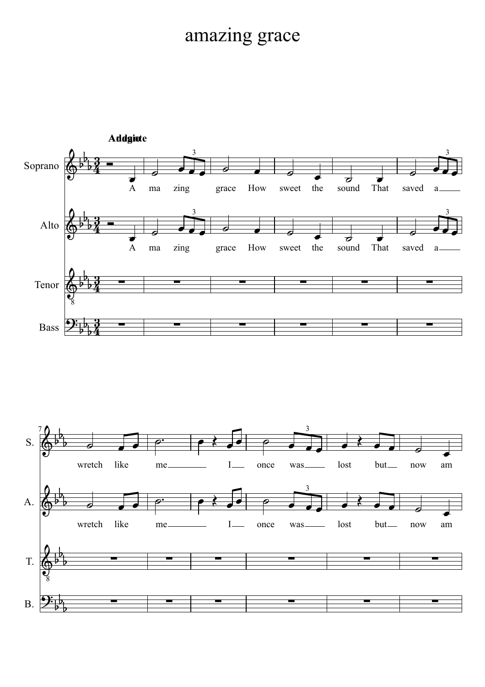## amazing grace

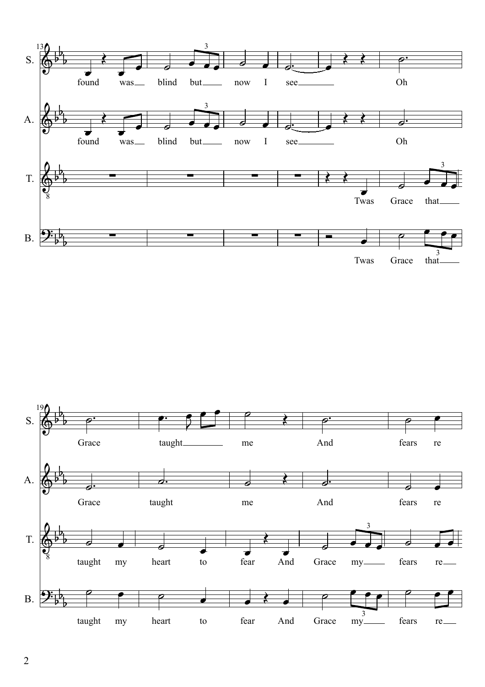

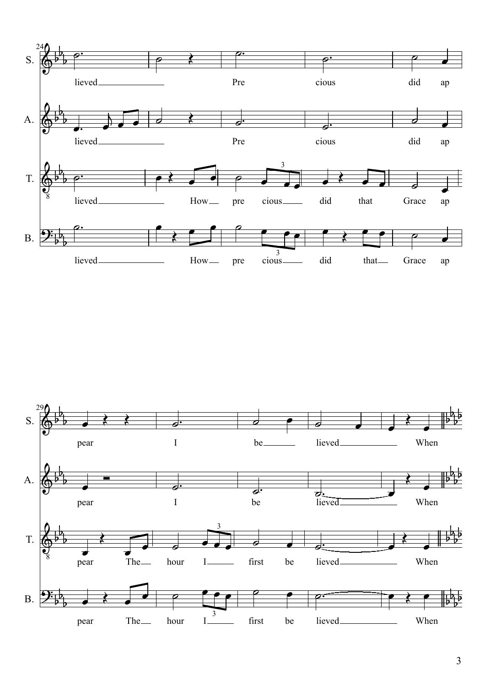

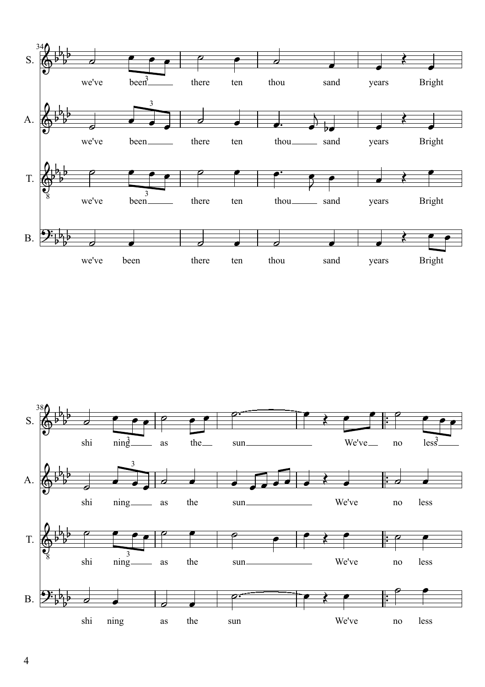